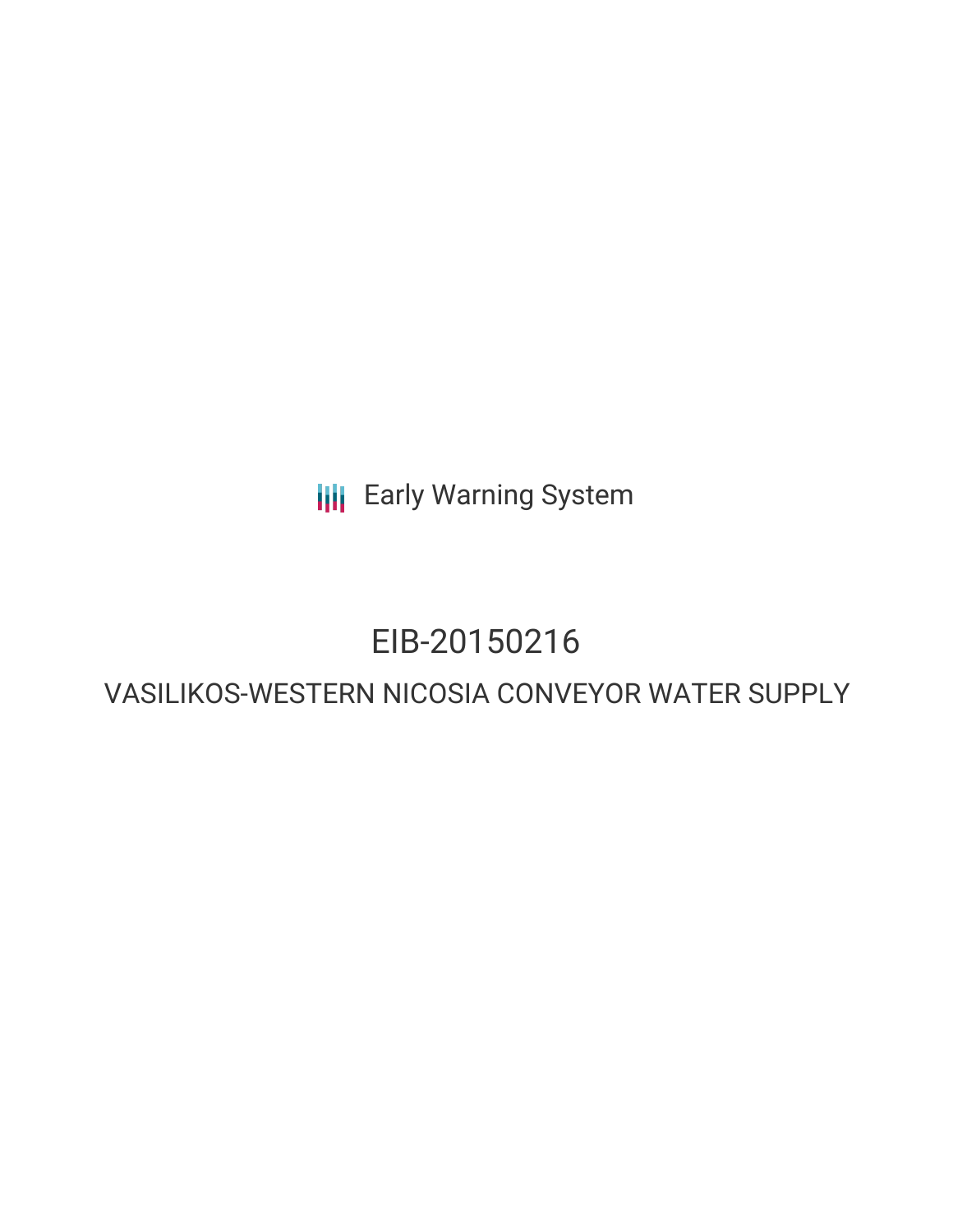**III** Early Warning System

# EIB-20150216

# VASILIKOS-WESTERN NICOSIA CONVEYOR WATER SUPPLY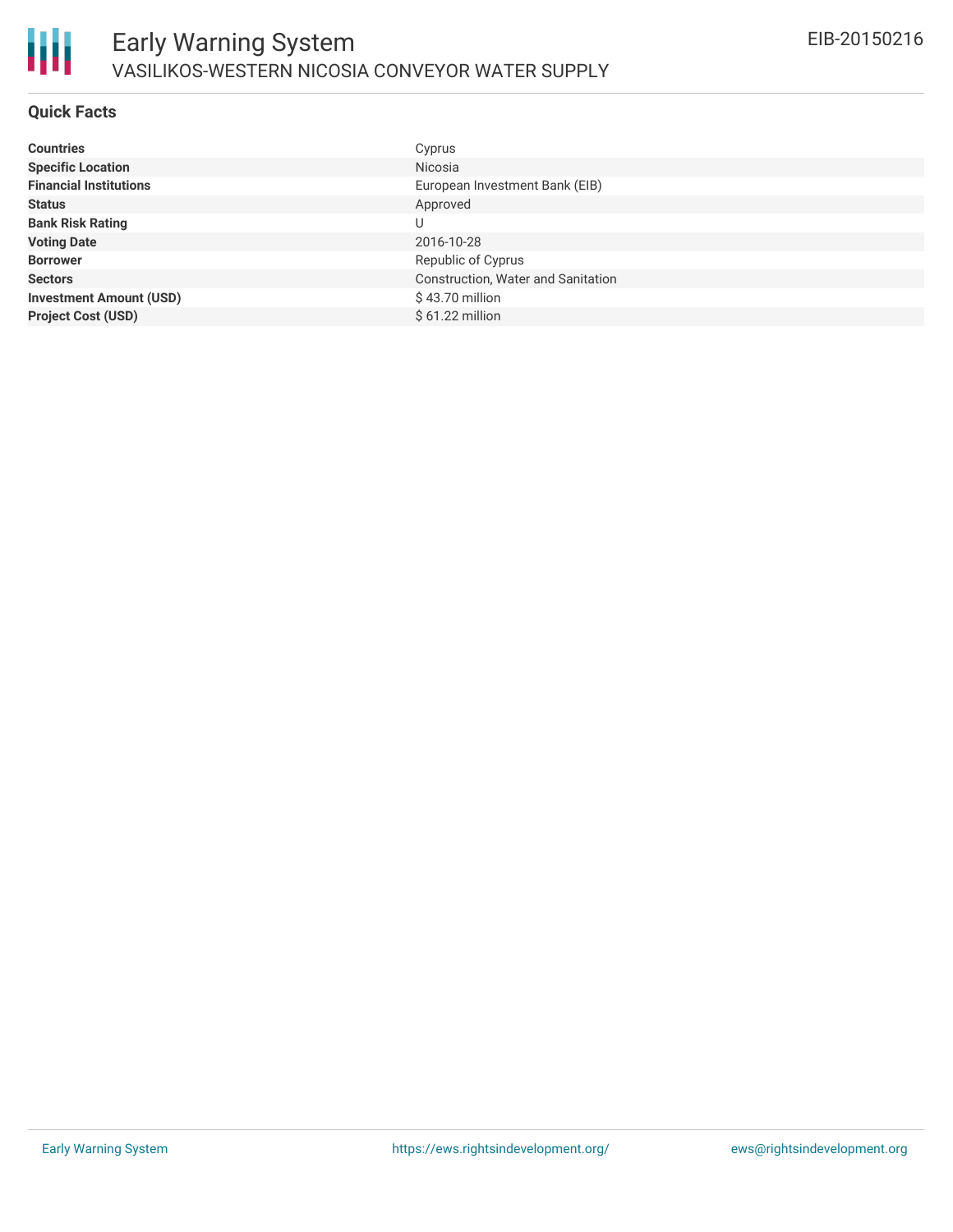

#### **Quick Facts**

| <b>Countries</b>               | Cyprus                             |
|--------------------------------|------------------------------------|
| <b>Specific Location</b>       | Nicosia                            |
| <b>Financial Institutions</b>  | European Investment Bank (EIB)     |
| <b>Status</b>                  | Approved                           |
| <b>Bank Risk Rating</b>        | U                                  |
| <b>Voting Date</b>             | 2016-10-28                         |
| <b>Borrower</b>                | Republic of Cyprus                 |
| <b>Sectors</b>                 | Construction, Water and Sanitation |
| <b>Investment Amount (USD)</b> | $$43.70$ million                   |
| <b>Project Cost (USD)</b>      | $$61.22$ million                   |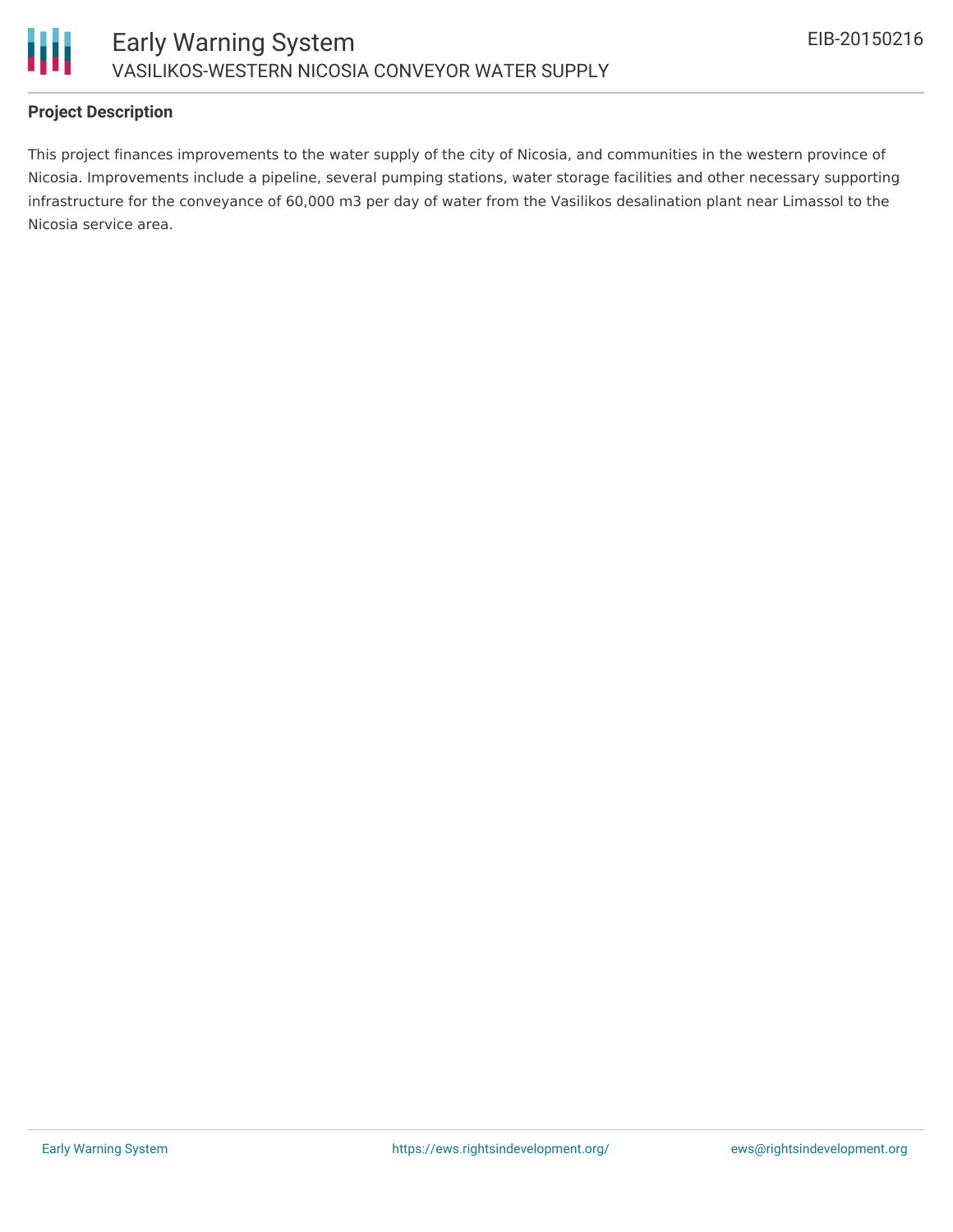

## **Project Description**

This project finances improvements to the water supply of the city of Nicosia, and communities in the western province of Nicosia. Improvements include a pipeline, several pumping stations, water storage facilities and other necessary supporting infrastructure for the conveyance of 60,000 m3 per day of water from the Vasilikos desalination plant near Limassol to the Nicosia service area.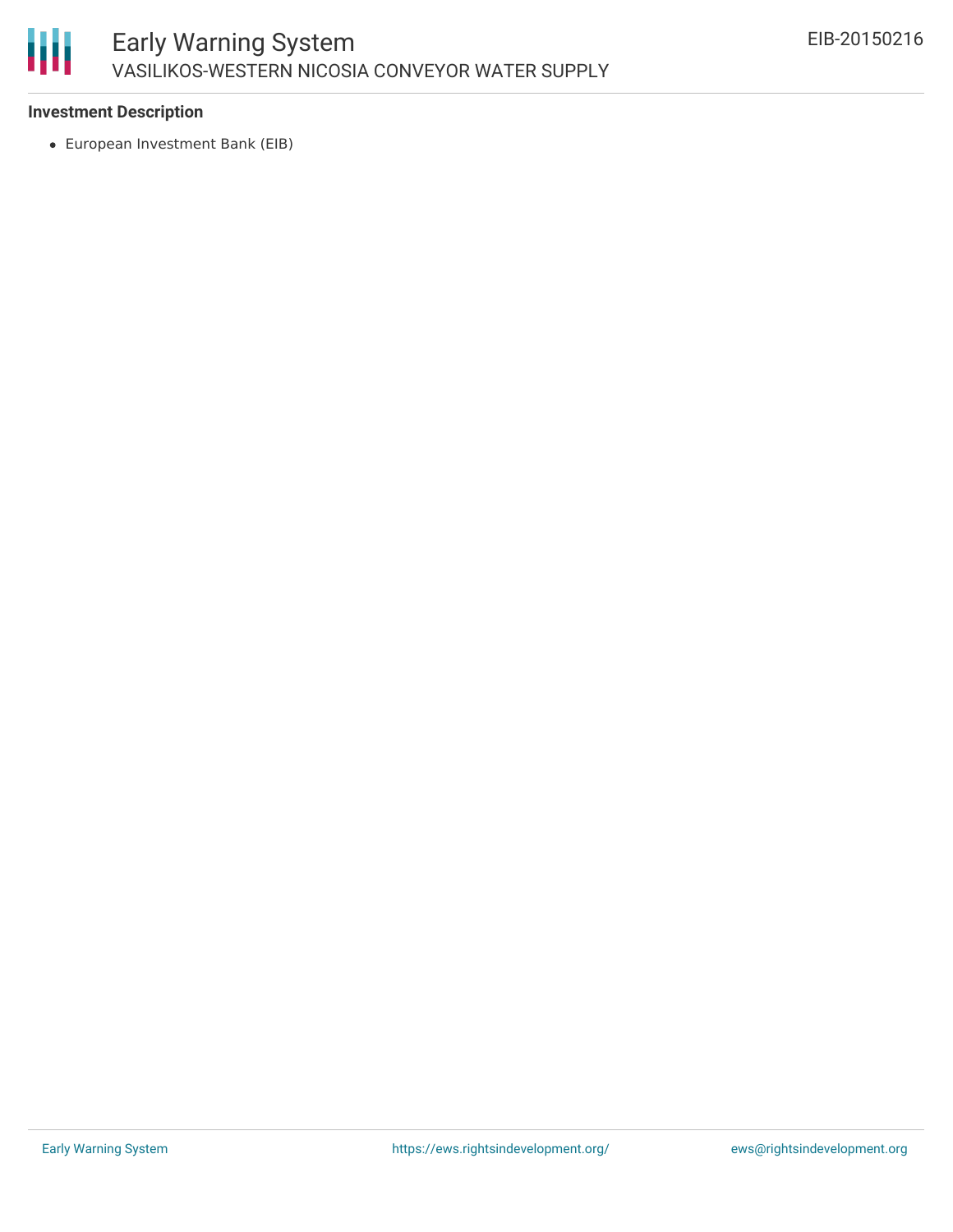

### **Investment Description**

European Investment Bank (EIB)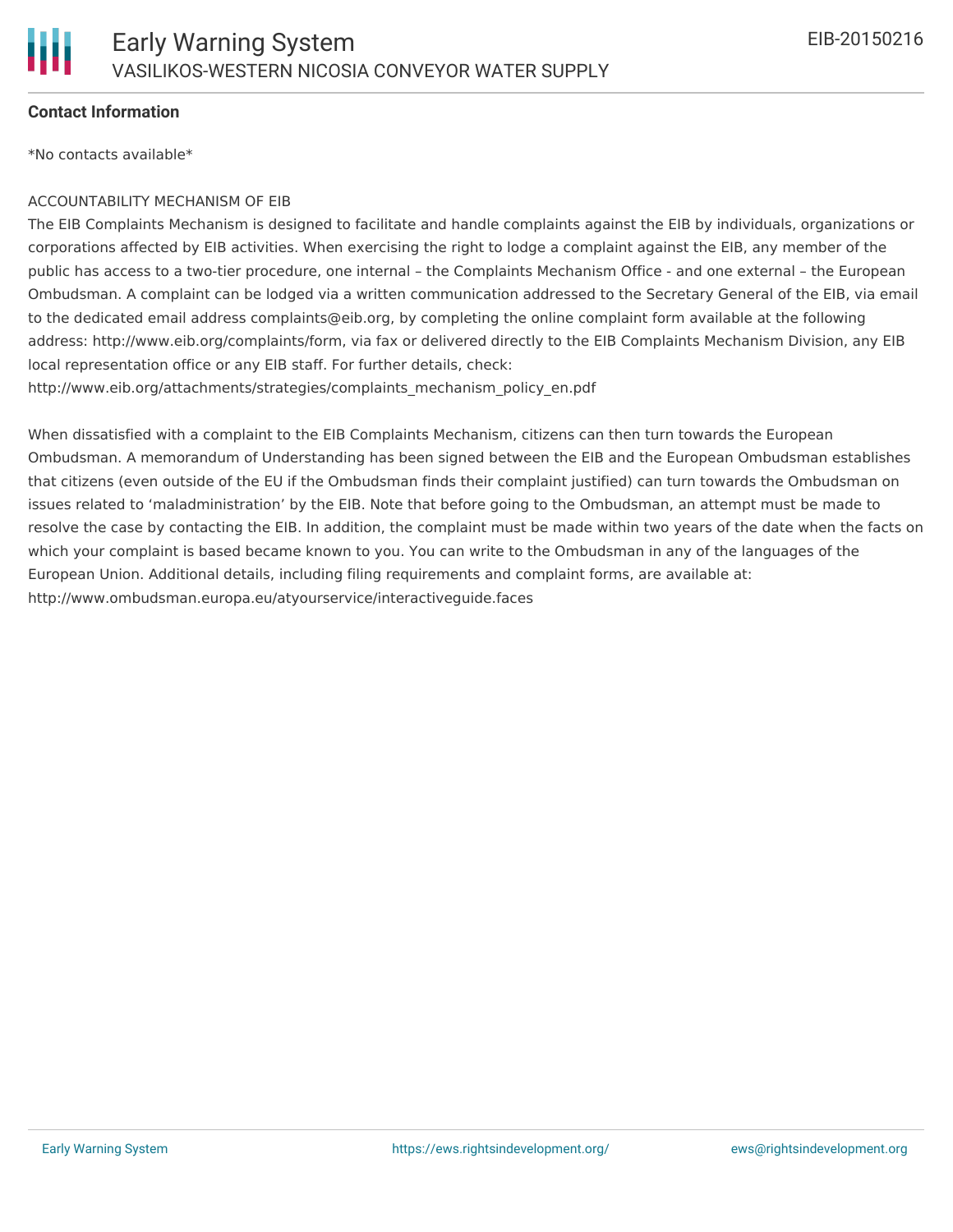

### **Contact Information**

\*No contacts available\*

#### ACCOUNTABILITY MECHANISM OF EIB

The EIB Complaints Mechanism is designed to facilitate and handle complaints against the EIB by individuals, organizations or corporations affected by EIB activities. When exercising the right to lodge a complaint against the EIB, any member of the public has access to a two-tier procedure, one internal – the Complaints Mechanism Office - and one external – the European Ombudsman. A complaint can be lodged via a written communication addressed to the Secretary General of the EIB, via email to the dedicated email address complaints@eib.org, by completing the online complaint form available at the following address: http://www.eib.org/complaints/form, via fax or delivered directly to the EIB Complaints Mechanism Division, any EIB local representation office or any EIB staff. For further details, check:

http://www.eib.org/attachments/strategies/complaints\_mechanism\_policy\_en.pdf

When dissatisfied with a complaint to the EIB Complaints Mechanism, citizens can then turn towards the European Ombudsman. A memorandum of Understanding has been signed between the EIB and the European Ombudsman establishes that citizens (even outside of the EU if the Ombudsman finds their complaint justified) can turn towards the Ombudsman on issues related to 'maladministration' by the EIB. Note that before going to the Ombudsman, an attempt must be made to resolve the case by contacting the EIB. In addition, the complaint must be made within two years of the date when the facts on which your complaint is based became known to you. You can write to the Ombudsman in any of the languages of the European Union. Additional details, including filing requirements and complaint forms, are available at: http://www.ombudsman.europa.eu/atyourservice/interactiveguide.faces